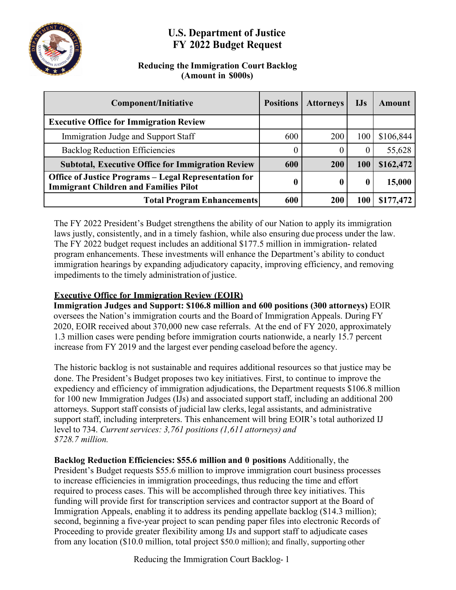

# **U.S. Department of Justice FY 2022 Budget Request**

### **Reducing the Immigration Court Backlog (Amount in \$000s)**

| <b>Component/Initiative</b>                                                                                  | <b>Positions</b> | <b>Attorneys</b> | $IJS$      | Amount    |
|--------------------------------------------------------------------------------------------------------------|------------------|------------------|------------|-----------|
| <b>Executive Office for Immigration Review</b>                                                               |                  |                  |            |           |
| Immigration Judge and Support Staff                                                                          | 600              | <b>200</b>       | 100        | \$106,844 |
| <b>Backlog Reduction Efficiencies</b>                                                                        |                  | $\theta$         | U          | 55,628    |
| <b>Subtotal, Executive Office for Immigration Review</b>                                                     | 600              | 200              | <b>100</b> | \$162,472 |
| <b>Office of Justice Programs – Legal Representation for</b><br><b>Immigrant Children and Families Pilot</b> | 0                | $\bf{0}$         |            | 15,000    |
| <b>Total Program Enhancements</b>                                                                            | 600              | 200              | 100        | \$177,472 |

The FY 2022 President's Budget strengthens the ability of our Nation to apply its immigration laws justly, consistently, and in a timely fashion, while also ensuring due process under the law. The FY 2022 budget request includes an additional \$177.5 million in immigration- related program enhancements. These investments will enhance the Department's ability to conduct immigration hearings by expanding adjudicatory capacity, improving efficiency, and removing impediments to the timely administration of justice.

### **Executive Office for Immigration Review (EOIR)**

**Immigration Judges and Support: \$106.8 million and 600 positions (300 attorneys)** EOIR oversees the Nation's immigration courts and the Board of Immigration Appeals. During FY 2020, EOIR received about 370,000 new case referrals. At the end of FY 2020, approximately 1.3 million cases were pending before immigration courts nationwide, a nearly 15.7 percent increase from FY 2019 and the largest ever pending caseload before the agency.

The historic backlog is not sustainable and requires additional resources so that justice may be done. The President's Budget proposes two key initiatives. First, to continue to improve the expediency and efficiency of immigration adjudications, the Department requests \$106.8 million for 100 new Immigration Judges (IJs) and associated support staff, including an additional 200 attorneys. Support staff consists of judicial law clerks, legal assistants, and administrative support staff, including interpreters. This enhancement will bring EOIR's total authorized IJ level to 734. *Current services: 3,761 positions (1,611 attorneys) and \$728.7 million.*

**Backlog Reduction Efficiencies: \$55.6 million and 0 positions** Additionally, the President's Budget requests \$55.6 million to improve immigration court business processes to increase efficiencies in immigration proceedings, thus reducing the time and effort required to process cases. This will be accomplished through three key initiatives. This funding will provide first for transcription services and contractor support at the Board of Immigration Appeals, enabling it to address its pending appellate backlog (\$14.3 million); second, beginning a five-year project to scan pending paper files into electronic Records of Proceeding to provide greater flexibility among IJs and support staff to adjudicate cases from any location (\$10.0 million, total project \$50.0 million); and finally, supporting other

Reducing the Immigration Court Backlog- 1